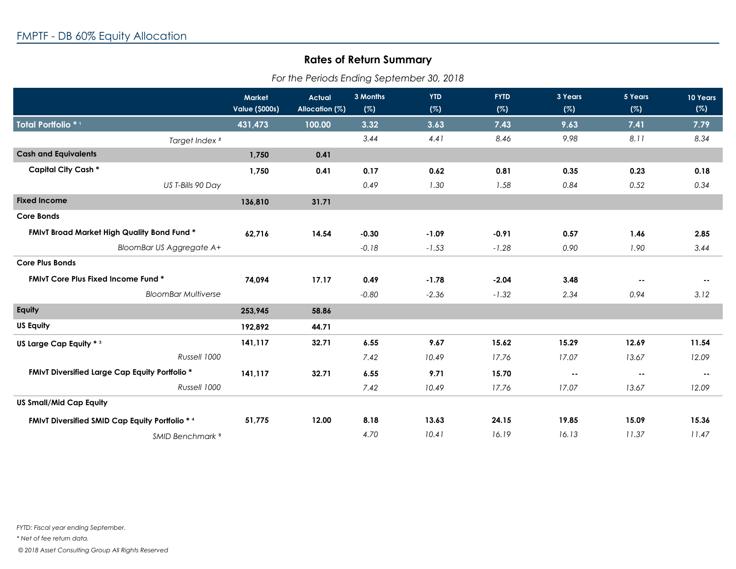## **Rates of Return Summary**

| For the Periods Ending September 30, 2018 |  |
|-------------------------------------------|--|
|-------------------------------------------|--|

|                                                       | <b>Market</b><br><b>Value (\$000s)</b> | <b>Actual</b><br>Allocation (%) | 3 Months<br>(%) | <b>YTD</b><br>(%) | <b>FYTD</b><br>(%) | 3 Years<br>(%) | 5 Years<br>(%) | 10 Years<br>(%) |
|-------------------------------------------------------|----------------------------------------|---------------------------------|-----------------|-------------------|--------------------|----------------|----------------|-----------------|
| Total Portfolio *1                                    | 431,473                                | 100.00                          | 3.32            | 3.63              | 7.43               | 9.63           | 7.41           | 7.79            |
| Target Index <sup>2</sup>                             |                                        |                                 | 3.44            | 4.41              | 8.46               | 9.98           | 8.11           | 8.34            |
| <b>Cash and Equivalents</b>                           | 1,750                                  | 0.41                            |                 |                   |                    |                |                |                 |
| <b>Capital City Cash *</b>                            | 1,750                                  | 0.41                            | 0.17            | 0.62              | 0.81               | 0.35           | 0.23           | 0.18            |
| US T-Bills 90 Day                                     |                                        |                                 | 0.49            | 1.30              | 1.58               | 0.84           | 0.52           | 0.34            |
| <b>Fixed Income</b>                                   | 136,810                                | 31.71                           |                 |                   |                    |                |                |                 |
| <b>Core Bonds</b>                                     |                                        |                                 |                 |                   |                    |                |                |                 |
| FMIvT Broad Market High Quality Bond Fund *           | 62,716                                 | 14.54                           | $-0.30$         | $-1.09$           | $-0.91$            | 0.57           | 1.46           | 2.85            |
| <b>BloomBar US Aggregate A+</b>                       |                                        |                                 | $-0.18$         | $-1.53$           | $-1.28$            | 0.90           | 1.90           | 3.44            |
| <b>Core Plus Bonds</b>                                |                                        |                                 |                 |                   |                    |                |                |                 |
| <b>FMIvT Core Plus Fixed Income Fund *</b>            | 74,094                                 | 17.17                           | 0.49            | $-1.78$           | $-2.04$            | 3.48           | $\sim$ $-$     | $\sim$ $-$      |
| <b>BloomBar Multiverse</b>                            |                                        |                                 | $-0.80$         | $-2.36$           | $-1.32$            | 2.34           | 0.94           | 3.12            |
| Equity                                                | 253,945                                | 58.86                           |                 |                   |                    |                |                |                 |
| <b>US Equity</b>                                      | 192,892                                | 44.71                           |                 |                   |                    |                |                |                 |
| US Large Cap Equity * 3                               | 141,117                                | 32.71                           | 6.55            | 9.67              | 15.62              | 15.29          | 12.69          | 11.54           |
| Russell 1000                                          |                                        |                                 | 7.42            | 10.49             | 17.76              | 17.07          | 13.67          | 12.09           |
| <b>FMIvT Diversified Large Cap Equity Portfolio *</b> | 141,117                                | 32.71                           | 6.55            | 9.71              | 15.70              | $\sim$ $\sim$  | $\sim$         | $\sim$ $\sim$   |
| Russell 1000                                          |                                        |                                 | 7.42            | 10.49             | 17.76              | 17.07          | 13.67          | 12.09           |
| <b>US Small/Mid Cap Equity</b>                        |                                        |                                 |                 |                   |                    |                |                |                 |
| FMIvT Diversified SMID Cap Equity Portfolio * 4       | 51,775                                 | 12.00                           | 8.18            | 13.63             | 24.15              | 19.85          | 15.09          | 15.36           |
| <b>SMID Benchmark 5</b>                               |                                        |                                 | 4.70            | 10.41             | 16.19              | 16.13          | 11.37          | 11.47           |

*\* Net of fee return data.*

 *© 2018 Asset Consulting Group All Rights Reserved*